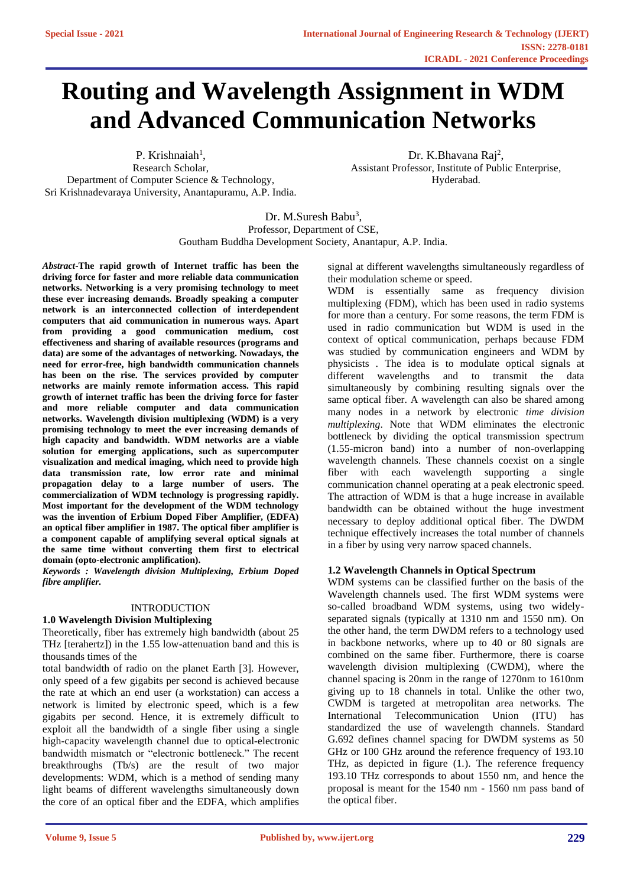# **Routing and Wavelength Assignment in WDM and Advanced Communication Networks**

P. Krishnaiah<sup>1</sup>, Research Scholar, Department of Computer Science & Technology, Sri Krishnadevaraya University, Anantapuramu, A.P. India.

Dr. K.Bhavana Raj<sup>2</sup>, Assistant Professor, Institute of Public Enterprise, Hyderabad.

Dr. M.Suresh Babu<sup>3</sup>, Professor, Department of CSE, Goutham Buddha Development Society, Anantapur, A.P. India.

*Abstract***-The rapid growth of Internet traffic has been the driving force for faster and more reliable data communication networks. Networking is a very promising technology to meet these ever increasing demands. Broadly speaking a computer network is an interconnected collection of interdependent computers that aid communication in numerous ways. Apart from providing a good communication medium, cost effectiveness and sharing of available resources (programs and data) are some of the advantages of networking. Nowadays, the need for error-free, high bandwidth communication channels has been on the rise. The services provided by computer networks are mainly remote information access. This rapid growth of internet traffic has been the driving force for faster and more reliable computer and data communication networks. Wavelength division multiplexing (WDM) is a very promising technology to meet the ever increasing demands of high capacity and bandwidth. WDM networks are a viable solution for emerging applications, such as supercomputer visualization and medical imaging, which need to provide high data transmission rate, low error rate and minimal propagation delay to a large number of users. The commercialization of WDM technology is progressing rapidly. Most important for the development of the WDM technology was the invention of Erbium Doped Fiber Amplifier, (EDFA) an optical fiber amplifier in 1987. The optical fiber amplifier is a component capable of amplifying several optical signals at the same time without converting them first to electrical domain (opto-electronic amplification).**

*Keywords : Wavelength division Multiplexing, Erbium Doped fibre amplifier.*

#### INTRODUCTION

#### **1.0 Wavelength Division Multiplexing**

Theoretically, fiber has extremely high bandwidth (about 25 THz [terahertz]) in the 1.55 low-attenuation band and this is thousands times of the

total bandwidth of radio on the planet Earth [3]. However, only speed of a few gigabits per second is achieved because the rate at which an end user (a workstation) can access a network is limited by electronic speed, which is a few gigabits per second. Hence, it is extremely difficult to exploit all the bandwidth of a single fiber using a single high-capacity wavelength channel due to optical-electronic bandwidth mismatch or "electronic bottleneck." The recent breakthroughs (Tb/s) are the result of two major developments: WDM, which is a method of sending many light beams of different wavelengths simultaneously down the core of an optical fiber and the EDFA, which amplifies signal at different wavelengths simultaneously regardless of their modulation scheme or speed.

WDM is essentially same as frequency division multiplexing (FDM), which has been used in radio systems for more than a century. For some reasons, the term FDM is used in radio communication but WDM is used in the context of optical communication, perhaps because FDM was studied by communication engineers and WDM by physicists . The idea is to modulate optical signals at different wavelengths and to transmit the data simultaneously by combining resulting signals over the same optical fiber. A wavelength can also be shared among many nodes in a network by electronic *time division multiplexing*. Note that WDM eliminates the electronic bottleneck by dividing the optical transmission spectrum (1.55-micron band) into a number of non-overlapping wavelength channels. These channels coexist on a single fiber with each wavelength supporting a single communication channel operating at a peak electronic speed. The attraction of WDM is that a huge increase in available bandwidth can be obtained without the huge investment necessary to deploy additional optical fiber. The DWDM technique effectively increases the total number of channels in a fiber by using very narrow spaced channels.

## **1.2 Wavelength Channels in Optical Spectrum**

WDM systems can be classified further on the basis of the Wavelength channels used. The first WDM systems were so-called broadband WDM systems, using two widelyseparated signals (typically at 1310 nm and 1550 nm). On the other hand, the term DWDM refers to a technology used in backbone networks, where up to 40 or 80 signals are combined on the same fiber. Furthermore, there is coarse wavelength division multiplexing (CWDM), where the channel spacing is 20nm in the range of 1270nm to 1610nm giving up to 18 channels in total. Unlike the other two, CWDM is targeted at metropolitan area networks. The International Telecommunication Union (ITU) has standardized the use of wavelength channels. Standard G.692 defines channel spacing for DWDM systems as 50 GHz or 100 GHz around the reference frequency of 193.10 THz, as depicted in figure (1.). The reference frequency 193.10 THz corresponds to about 1550 nm, and hence the proposal is meant for the 1540 nm - 1560 nm pass band of the optical fiber.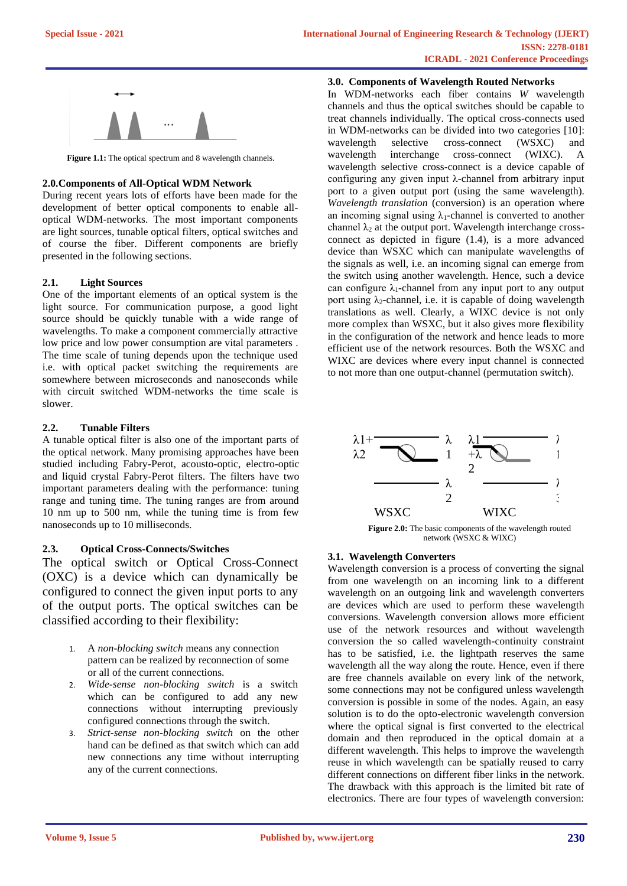

Figure 1.1: The optical spectrum and 8 wavelength channels.

## **2.0.Components of All-Optical WDM Network**

During recent years lots of efforts have been made for the development of better optical components to enable alloptical WDM-networks. The most important components are light sources, tunable optical filters, optical switches and of course the fiber. Different components are briefly presented in the following sections.

## **2.1. Light Sources**

One of the important elements of an optical system is the light source. For communication purpose, a good light source should be quickly tunable with a wide range of wavelengths. To make a component commercially attractive low price and low power consumption are vital parameters . The time scale of tuning depends upon the technique used i.e. with optical packet switching the requirements are somewhere between microseconds and nanoseconds while with circuit switched WDM-networks the time scale is slower.

## **2.2. Tunable Filters**

A tunable optical filter is also one of the important parts of the optical network. Many promising approaches have been studied including Fabry-Perot, acousto-optic, electro-optic and liquid crystal Fabry-Perot filters. The filters have two important parameters dealing with the performance: tuning range and tuning time. The tuning ranges are from around 10 nm up to 500 nm, while the tuning time is from few nanoseconds up to 10 milliseconds.

# **2.3. Optical Cross-Connects/Switches**

The optical switch or Optical Cross-Connect (OXC) is a device which can dynamically be configured to connect the given input ports to any of the output ports. The optical switches can be classified according to their flexibility:

- 1. A *non-blocking switch* means any connection pattern can be realized by reconnection of some or all of the current connections.
- 2. *Wide-sense non-blocking switch* is a switch which can be configured to add any new connections without interrupting previously configured connections through the switch.
- 3. *Strict-sense non-blocking switch* on the other hand can be defined as that switch which can add new connections any time without interrupting any of the current connections.

## **3.0. Components of Wavelength Routed Networks**

In WDM-networks each fiber contains *W* wavelength channels and thus the optical switches should be capable to treat channels individually. The optical cross-connects used in WDM-networks can be divided into two categories [10]:<br>wavelength selective cross-connect (WSXC) and wavelength selective cross-connect (WSXC) and wavelength interchange cross-connect (WIXC). A wavelength selective cross-connect is a device capable of configuring any given input λ-channel from arbitrary input port to a given output port (using the same wavelength). *Wavelength translation* (conversion) is an operation where an incoming signal using  $\lambda_1$ -channel is converted to another channel  $\lambda_2$  at the output port. Wavelength interchange crossconnect as depicted in figure (1.4), is a more advanced device than WSXC which can manipulate wavelengths of the signals as well, i.e. an incoming signal can emerge from the switch using another wavelength. Hence, such a device can configure  $\lambda_1$ -channel from any input port to any output port using  $\lambda_2$ -channel, i.e. it is capable of doing wavelength translations as well. Clearly, a WIXC device is not only more complex than WSXC, but it also gives more flexibility in the configuration of the network and hence leads to more efficient use of the network resources. Both the WSXC and WIXC are devices where every input channel is connected to not more than one output-channel (permutation switch).



Figure 2.0: The basic components of the wavelength routed network (WSXC & WIXC)

## **3.1. Wavelength Converters**

Wavelength conversion is a process of converting the signal from one wavelength on an incoming link to a different wavelength on an outgoing link and wavelength converters are devices which are used to perform these wavelength conversions. Wavelength conversion allows more efficient use of the network resources and without wavelength conversion the so called wavelength-continuity constraint has to be satisfied, i.e. the lightpath reserves the same wavelength all the way along the route. Hence, even if there are free channels available on every link of the network, some connections may not be configured unless wavelength conversion is possible in some of the nodes. Again, an easy solution is to do the opto-electronic wavelength conversion where the optical signal is first converted to the electrical domain and then reproduced in the optical domain at a different wavelength. This helps to improve the wavelength reuse in which wavelength can be spatially reused to carry different connections on different fiber links in the network. The drawback with this approach is the limited bit rate of electronics. There are four types of wavelength conversion: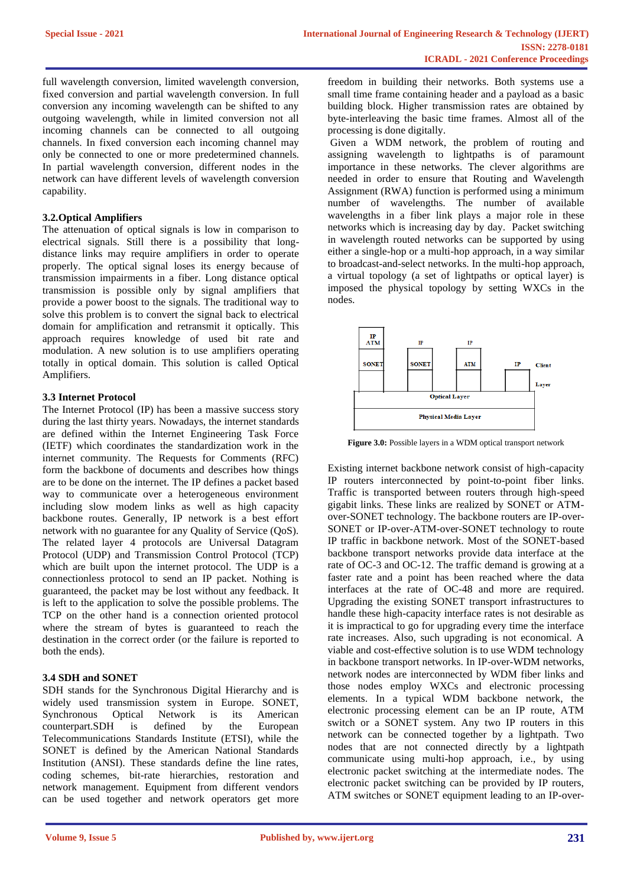full wavelength conversion, limited wavelength conversion, fixed conversion and partial wavelength conversion. In full conversion any incoming wavelength can be shifted to any outgoing wavelength, while in limited conversion not all incoming channels can be connected to all outgoing channels. In fixed conversion each incoming channel may only be connected to one or more predetermined channels. In partial wavelength conversion, different nodes in the network can have different levels of wavelength conversion capability.

### **3.2.Optical Amplifiers**

The attenuation of optical signals is low in comparison to electrical signals. Still there is a possibility that longdistance links may require amplifiers in order to operate properly. The optical signal loses its energy because of transmission impairments in a fiber. Long distance optical transmission is possible only by signal amplifiers that provide a power boost to the signals. The traditional way to solve this problem is to convert the signal back to electrical domain for amplification and retransmit it optically. This approach requires knowledge of used bit rate and modulation. A new solution is to use amplifiers operating totally in optical domain. This solution is called Optical Amplifiers.

#### **3.3 Internet Protocol**

The Internet Protocol (IP) has been a massive success story during the last thirty years. Nowadays, the internet standards are defined within the Internet Engineering Task Force (IETF) which coordinates the standardization work in the internet community. The Requests for Comments (RFC) form the backbone of documents and describes how things are to be done on the internet. The IP defines a packet based way to communicate over a heterogeneous environment including slow modem links as well as high capacity backbone routes. Generally, IP network is a best effort network with no guarantee for any Quality of Service (QoS). The related layer 4 protocols are Universal Datagram Protocol (UDP) and Transmission Control Protocol (TCP) which are built upon the internet protocol. The UDP is a connectionless protocol to send an IP packet. Nothing is guaranteed, the packet may be lost without any feedback. It is left to the application to solve the possible problems. The TCP on the other hand is a connection oriented protocol where the stream of bytes is guaranteed to reach the destination in the correct order (or the failure is reported to both the ends).

#### **3.4 SDH and SONET**

SDH stands for the Synchronous Digital Hierarchy and is widely used transmission system in Europe. SONET, Synchronous Optical Network is its American counterpart.SDH is defined by the European Telecommunications Standards Institute (ETSI), while the SONET is defined by the American National Standards Institution (ANSI). These standards define the line rates, coding schemes, bit-rate hierarchies, restoration and network management. Equipment from different vendors can be used together and network operators get more freedom in building their networks. Both systems use a small time frame containing header and a payload as a basic building block. Higher transmission rates are obtained by byte-interleaving the basic time frames. Almost all of the processing is done digitally.

Given a WDM network, the problem of routing and assigning wavelength to lightpaths is of paramount importance in these networks. The clever algorithms are needed in order to ensure that Routing and Wavelength Assignment (RWA) function is performed using a minimum number of wavelengths. The number of available wavelengths in a fiber link plays a major role in these networks which is increasing day by day. Packet switching in wavelength routed networks can be supported by using either a single-hop or a multi-hop approach, in a way similar to broadcast-and-select networks. In the multi-hop approach, a virtual topology (a set of lightpaths or optical layer) is imposed the physical topology by setting WXCs in the nodes.



**Figure 3.0:** Possible layers in a WDM optical transport network

Existing internet backbone network consist of high-capacity IP routers interconnected by point-to-point fiber links. Traffic is transported between routers through high-speed gigabit links. These links are realized by SONET or ATMover-SONET technology. The backbone routers are IP-over-SONET or IP-over-ATM-over-SONET technology to route IP traffic in backbone network. Most of the SONET-based backbone transport networks provide data interface at the rate of OC-3 and OC-12. The traffic demand is growing at a faster rate and a point has been reached where the data interfaces at the rate of OC-48 and more are required. Upgrading the existing SONET transport infrastructures to handle these high-capacity interface rates is not desirable as it is impractical to go for upgrading every time the interface rate increases. Also, such upgrading is not economical. A viable and cost-effective solution is to use WDM technology in backbone transport networks. In IP-over-WDM networks, network nodes are interconnected by WDM fiber links and those nodes employ WXCs and electronic processing elements. In a typical WDM backbone network, the electronic processing element can be an IP route, ATM switch or a SONET system. Any two IP routers in this network can be connected together by a lightpath. Two nodes that are not connected directly by a lightpath communicate using multi-hop approach, i.e., by using electronic packet switching at the intermediate nodes. The electronic packet switching can be provided by IP routers, ATM switches or SONET equipment leading to an IP-over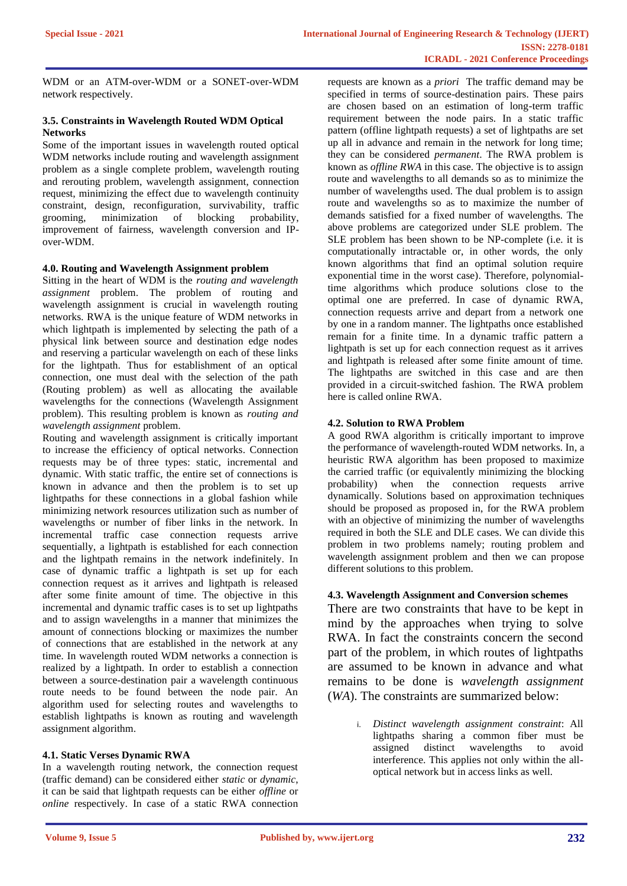WDM or an ATM-over-WDM or a SONET-over-WDM network respectively.

## **3.5. Constraints in Wavelength Routed WDM Optical Networks**

Some of the important issues in wavelength routed optical WDM networks include routing and wavelength assignment problem as a single complete problem, wavelength routing and rerouting problem, wavelength assignment, connection request, minimizing the effect due to wavelength continuity constraint, design, reconfiguration, survivability, traffic grooming, minimization of blocking probability, improvement of fairness, wavelength conversion and IPover-WDM.

## **4.0. Routing and Wavelength Assignment problem**

Sitting in the heart of WDM is the *routing and wavelength assignment* problem. The problem of routing and wavelength assignment is crucial in wavelength routing networks. RWA is the unique feature of WDM networks in which lightpath is implemented by selecting the path of a physical link between source and destination edge nodes and reserving a particular wavelength on each of these links for the lightpath. Thus for establishment of an optical connection, one must deal with the selection of the path (Routing problem) as well as allocating the available wavelengths for the connections (Wavelength Assignment problem). This resulting problem is known as *routing and wavelength assignment* problem.

Routing and wavelength assignment is critically important to increase the efficiency of optical networks. Connection requests may be of three types: static, incremental and dynamic. With static traffic, the entire set of connections is known in advance and then the problem is to set up lightpaths for these connections in a global fashion while minimizing network resources utilization such as number of wavelengths or number of fiber links in the network. In incremental traffic case connection requests arrive sequentially, a lightpath is established for each connection and the lightpath remains in the network indefinitely. In case of dynamic traffic a lightpath is set up for each connection request as it arrives and lightpath is released after some finite amount of time. The objective in this incremental and dynamic traffic cases is to set up lightpaths and to assign wavelengths in a manner that minimizes the amount of connections blocking or maximizes the number of connections that are established in the network at any time. In wavelength routed WDM networks a connection is realized by a lightpath. In order to establish a connection between a source-destination pair a wavelength continuous route needs to be found between the node pair. An algorithm used for selecting routes and wavelengths to establish lightpaths is known as routing and wavelength assignment algorithm.

## **4.1. Static Verses Dynamic RWA**

In a wavelength routing network, the connection request (traffic demand) can be considered either *static* or *dynamic*, it can be said that lightpath requests can be either *offline* or *online* respectively. In case of a static RWA connection requests are known as a *priori* The traffic demand may be specified in terms of source-destination pairs. These pairs are chosen based on an estimation of long-term traffic requirement between the node pairs. In a static traffic pattern (offline lightpath requests) a set of lightpaths are set up all in advance and remain in the network for long time; they can be considered *permanent*. The RWA problem is known as *offline RWA* in this case. The objective is to assign route and wavelengths to all demands so as to minimize the number of wavelengths used. The dual problem is to assign route and wavelengths so as to maximize the number of demands satisfied for a fixed number of wavelengths. The above problems are categorized under SLE problem. The SLE problem has been shown to be NP-complete (i.e. it is computationally intractable or, in other words, the only known algorithms that find an optimal solution require exponential time in the worst case). Therefore, polynomialtime algorithms which produce solutions close to the optimal one are preferred. In case of dynamic RWA, connection requests arrive and depart from a network one by one in a random manner. The lightpaths once established remain for a finite time. In a dynamic traffic pattern a lightpath is set up for each connection request as it arrives and lightpath is released after some finite amount of time. The lightpaths are switched in this case and are then provided in a circuit-switched fashion. The RWA problem here is called online RWA.

## **4.2. Solution to RWA Problem**

A good RWA algorithm is critically important to improve the performance of wavelength-routed WDM networks. In, a heuristic RWA algorithm has been proposed to maximize the carried traffic (or equivalently minimizing the blocking probability) when the connection requests arrive dynamically. Solutions based on approximation techniques should be proposed as proposed in, for the RWA problem with an objective of minimizing the number of wavelengths required in both the SLE and DLE cases. We can divide this problem in two problems namely; routing problem and wavelength assignment problem and then we can propose different solutions to this problem.

## **4.3. Wavelength Assignment and Conversion schemes**

There are two constraints that have to be kept in mind by the approaches when trying to solve RWA. In fact the constraints concern the second part of the problem, in which routes of lightpaths are assumed to be known in advance and what remains to be done is *wavelength assignment*  (*WA*). The constraints are summarized below:

> i. *Distinct wavelength assignment constraint*: All lightpaths sharing a common fiber must be assigned distinct wavelengths to avoid interference. This applies not only within the alloptical network but in access links as well.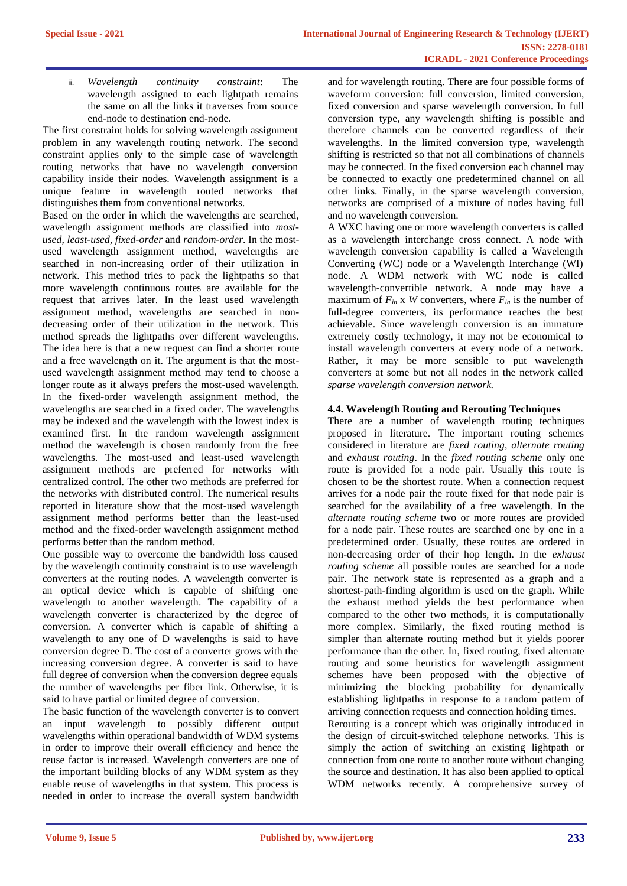ii. *Wavelength continuity constraint*: The wavelength assigned to each lightpath remains the same on all the links it traverses from source end-node to destination end-node.

The first constraint holds for solving wavelength assignment problem in any wavelength routing network. The second constraint applies only to the simple case of wavelength routing networks that have no wavelength conversion capability inside their nodes. Wavelength assignment is a unique feature in wavelength routed networks that distinguishes them from conventional networks.

Based on the order in which the wavelengths are searched, wavelength assignment methods are classified into *mostused, least-used, fixed-order* and *random-order*. In the mostused wavelength assignment method, wavelengths are searched in non-increasing order of their utilization in network. This method tries to pack the lightpaths so that more wavelength continuous routes are available for the request that arrives later. In the least used wavelength assignment method, wavelengths are searched in nondecreasing order of their utilization in the network. This method spreads the lightpaths over different wavelengths. The idea here is that a new request can find a shorter route and a free wavelength on it. The argument is that the mostused wavelength assignment method may tend to choose a longer route as it always prefers the most-used wavelength. In the fixed-order wavelength assignment method, the wavelengths are searched in a fixed order. The wavelengths may be indexed and the wavelength with the lowest index is examined first. In the random wavelength assignment method the wavelength is chosen randomly from the free wavelengths. The most-used and least-used wavelength assignment methods are preferred for networks with centralized control. The other two methods are preferred for the networks with distributed control. The numerical results reported in literature show that the most-used wavelength assignment method performs better than the least-used method and the fixed-order wavelength assignment method performs better than the random method.

One possible way to overcome the bandwidth loss caused by the wavelength continuity constraint is to use wavelength converters at the routing nodes. A wavelength converter is an optical device which is capable of shifting one wavelength to another wavelength. The capability of a wavelength converter is characterized by the degree of conversion. A converter which is capable of shifting a wavelength to any one of D wavelengths is said to have conversion degree D. The cost of a converter grows with the increasing conversion degree. A converter is said to have full degree of conversion when the conversion degree equals the number of wavelengths per fiber link. Otherwise, it is said to have partial or limited degree of conversion.

The basic function of the wavelength converter is to convert an input wavelength to possibly different output wavelengths within operational bandwidth of WDM systems in order to improve their overall efficiency and hence the reuse factor is increased. Wavelength converters are one of the important building blocks of any WDM system as they enable reuse of wavelengths in that system. This process is needed in order to increase the overall system bandwidth

and for wavelength routing. There are four possible forms of waveform conversion: full conversion, limited conversion, fixed conversion and sparse wavelength conversion. In full conversion type, any wavelength shifting is possible and therefore channels can be converted regardless of their wavelengths. In the limited conversion type, wavelength shifting is restricted so that not all combinations of channels may be connected. In the fixed conversion each channel may be connected to exactly one predetermined channel on all other links. Finally, in the sparse wavelength conversion, networks are comprised of a mixture of nodes having full and no wavelength conversion.

A WXC having one or more wavelength converters is called as a wavelength interchange cross connect. A node with wavelength conversion capability is called a Wavelength Converting (WC) node or a Wavelength Interchange (WI) node. A WDM network with WC node is called wavelength-convertible network. A node may have a maximum of  $F_{in}$  x *W* converters, where  $F_{in}$  is the number of full-degree converters, its performance reaches the best achievable. Since wavelength conversion is an immature extremely costly technology, it may not be economical to install wavelength converters at every node of a network. Rather, it may be more sensible to put wavelength converters at some but not all nodes in the network called *sparse wavelength conversion network.* 

## **4.4. Wavelength Routing and Rerouting Techniques**

There are a number of wavelength routing techniques proposed in literature. The important routing schemes considered in literature are *fixed routing*, *alternate routing*  and *exhaust routing*. In the *fixed routing scheme* only one route is provided for a node pair. Usually this route is chosen to be the shortest route. When a connection request arrives for a node pair the route fixed for that node pair is searched for the availability of a free wavelength. In the *alternate routing scheme* two or more routes are provided for a node pair. These routes are searched one by one in a predetermined order. Usually, these routes are ordered in non-decreasing order of their hop length. In the *exhaust routing scheme* all possible routes are searched for a node pair. The network state is represented as a graph and a shortest-path-finding algorithm is used on the graph. While the exhaust method yields the best performance when compared to the other two methods, it is computationally more complex. Similarly, the fixed routing method is simpler than alternate routing method but it yields poorer performance than the other. In, fixed routing, fixed alternate routing and some heuristics for wavelength assignment schemes have been proposed with the objective of minimizing the blocking probability for dynamically establishing lightpaths in response to a random pattern of arriving connection requests and connection holding times. Rerouting is a concept which was originally introduced in

the design of circuit-switched telephone networks. This is simply the action of switching an existing lightpath or connection from one route to another route without changing the source and destination. It has also been applied to optical WDM networks recently. A comprehensive survey of